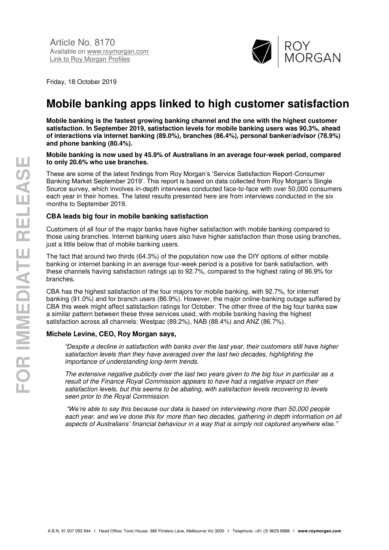

Friday, 18 October 2019

# **Mobile banking apps linked to high customer satisfaction**

**Mobile banking is the fastest growing banking channel and the one with the highest customer satisfaction. In September 2019, satisfaction levels for mobile banking users was 90.3%, ahead of interactions via internet banking (89.0%), branches (86.4%), personal banker/advisor (78.9%) and phone banking (80.4%).** 

#### **Mobile banking is now used by 45.9% of Australians in an average four-week period, compared to only 20.6% who use branches.**

These are some of the latest findings from Roy Morgan's 'Service Satisfaction Report-Consumer Banking Market September 2019'. This report is based on data collected from Roy Morgan's Single Source survey, which involves in-depth interviews conducted face-to-face with over 50,000 consumers each year in their homes. The latest results presented here are from interviews conducted in the six months to September 2019.

### **CBA leads big four in mobile banking satisfaction**

Customers of all four of the major banks have higher satisfaction with mobile banking compared to those using branches. Internet banking users also have higher satisfaction than those using branches, just a little below that of mobile banking users.

The fact that around two thirds (64.3%) of the population now use the DIY options of either mobile banking or internet banking in an average four-week period is a positive for bank satisfaction, with these channels having satisfaction ratings up to 92.7%, compared to the highest rating of 86.9% for branches.

CBA has the highest satisfaction of the four majors for mobile banking, with 92.7%, for internet banking (91.0%) and for branch users (86.9%). However, the major online-banking outage suffered by CBA this week might affect satisfaction ratings for October. The other three of the big four banks saw a similar pattern between these three services used, with mobile banking having the highest satisfaction across all channels: Westpac (89.2%), NAB (88.4%) and ANZ (86.7%).

### **Michele Levine, CEO, Roy Morgan says,**

*"Despite a decline in satisfaction with banks over the last year, their customers still have higher satisfaction levels than they have averaged over the last two decades, highlighting the importance of understanding long-term trends.* 

*The extensive negative publicity over the last two years given to the big four in particular as a result of the Finance Royal Commission appears to have had a negative impact on their satisfaction levels, but this seems to be abating, with satisfaction levels recovering to levels seen prior to the Royal Commission.* 

*"We're able to say this because our data is based on interviewing more than 50,000 people each year, and we've done this for more than two decades, gathering in depth information on all aspects of Australians' financial behaviour in a way that is simply not captured anywhere else."*